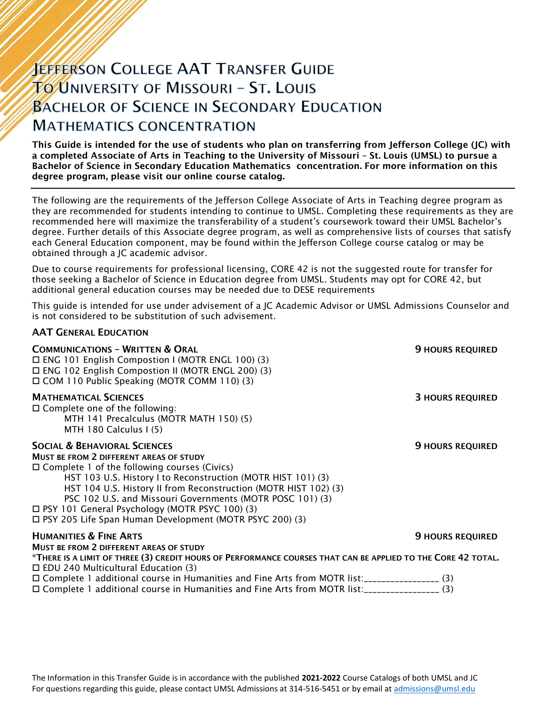# **JEFFERSON COLLEGE AAT TRANSFER GUIDE TO UNIVERSITY OF MISSOURI - ST. LOUIS BACHELOR OF SCIENCE IN SECONDARY EDUCATION MATHEMATICS CONCENTRATION**

This Guide is intended for the use of students who plan on transferring from Jefferson College (JC) with a completed Associate of Arts in Teaching to the University of Missouri – St. Louis (UMSL) to pursue a Bachelor of Science in Secondary Education Mathematics concentration. For more information on this degree program, please visit our online course catalog.

The following are the requirements of the Jefferson College Associate of Arts in Teaching degree program as they are recommended for students intending to continue to UMSL. Completing these requirements as they are recommended here will maximize the transferability of a student's coursework toward their UMSL Bachelor's degree. Further details of this Associate degree program, as well as comprehensive lists of courses that satisfy each General Education component, may be found within the Jefferson College course catalog or may be obtained through a JC academic advisor.

Due to course requirements for professional licensing, CORE 42 is not the suggested route for transfer for those seeking a Bachelor of Science in Education degree from UMSL. Students may opt for CORE 42, but additional general education courses may be needed due to DESE requirements

This guide is intended for use under advisement of a JC Academic Advisor or UMSL Admissions Counselor and is not considered to be substitution of such advisement.

### AAT GENERAL EDUCATION

| <b>COMMUNICATIONS - WRITTEN &amp; ORAL</b><br>$\Box$ ENG 101 English Compostion I (MOTR ENGL 100) (3)<br>□ ENG 102 English Compostion II (MOTR ENGL 200) (3)<br>□ COM 110 Public Speaking (MOTR COMM 110) (3)                                                                                                                                                                                                                                                          | <b>9 HOURS REQUIRED</b> |
|------------------------------------------------------------------------------------------------------------------------------------------------------------------------------------------------------------------------------------------------------------------------------------------------------------------------------------------------------------------------------------------------------------------------------------------------------------------------|-------------------------|
| <b>MATHEMATICAL SCIENCES</b><br>$\Box$ Complete one of the following:<br>MTH 141 Precalculus (MOTR MATH 150) (5)<br>MTH 180 Calculus I (5)                                                                                                                                                                                                                                                                                                                             | <b>3 HOURS REQUIRED</b> |
| <b>SOCIAL &amp; BEHAVIORAL SCIENCES</b><br><b>MUST BE FROM 2 DIFFERENT AREAS OF STUDY</b><br>$\Box$ Complete 1 of the following courses (Civics)<br>HST 103 U.S. History I to Reconstruction (MOTR HIST 101) (3)<br>HST 104 U.S. History II from Reconstruction (MOTR HIST 102) (3)<br>PSC 102 U.S. and Missouri Governments (MOTR POSC 101) (3)<br>□ PSY 101 General Psychology (MOTR PSYC 100) (3)<br>$\Box$ PSY 205 Life Span Human Development (MOTR PSYC 200) (3) | <b>9 HOURS REQUIRED</b> |
| <b>HUMANITIES &amp; FINE ARTS</b>                                                                                                                                                                                                                                                                                                                                                                                                                                      | <b>9 HOURS REQUIRED</b> |
| <b>MUST BE FROM 2 DIFFERENT AREAS OF STUDY</b><br>*THERE IS A LIMIT OF THREE (3) CREDIT HOURS OF PERFORMANCE COURSES THAT CAN BE APPLIED TO THE CORE 42 TOTAL.<br>$\Box$ EDU 240 Multicultural Education (3)                                                                                                                                                                                                                                                           |                         |
| □ Complete 1 additional course in Humanities and Fine Arts from MOTR list:__________________(3)<br>□ Complete 1 additional course in Humanities and Fine Arts from MOTR list:_________________(3)                                                                                                                                                                                                                                                                      |                         |